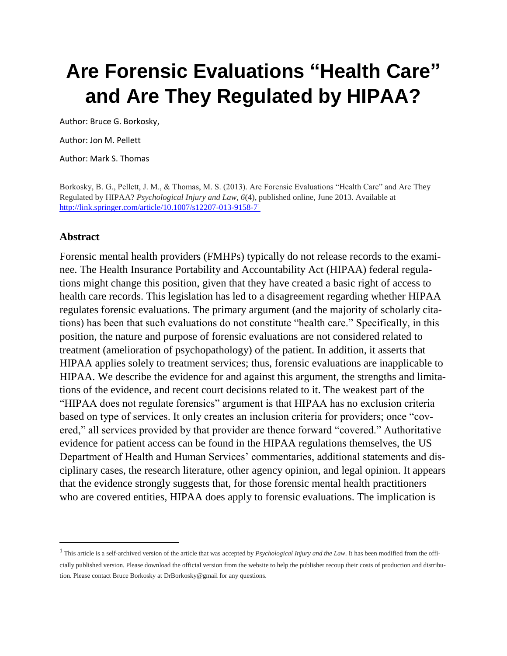# **Are Forensic Evaluations "Health Care" and Are They Regulated by HIPAA?**

Author: Bruce G. Borkosky,

Author: Jon M. Pellett

Author: Mark S. Thomas

Borkosky, B. G., Pellett, J. M., & Thomas, M. S. (2013). Are Forensic Evaluations "Health Care" and Are They Regulated by HIPAA? *Psychological Injury and Law, 6*(4), published online, June 2013. Available at <http://link.springer.com/article/10.1007/s12207-013-9158-7><sup>1</sup>

#### **Abstract**

 $\overline{\phantom{a}}$ 

Forensic mental health providers (FMHPs) typically do not release records to the examinee. The Health Insurance Portability and Accountability Act (HIPAA) federal regulations might change this position, given that they have created a basic right of access to health care records. This legislation has led to a disagreement regarding whether HIPAA regulates forensic evaluations. The primary argument (and the majority of scholarly citations) has been that such evaluations do not constitute "health care." Specifically, in this position, the nature and purpose of forensic evaluations are not considered related to treatment (amelioration of psychopathology) of the patient. In addition, it asserts that HIPAA applies solely to treatment services; thus, forensic evaluations are inapplicable to HIPAA. We describe the evidence for and against this argument, the strengths and limitations of the evidence, and recent court decisions related to it. The weakest part of the "HIPAA does not regulate forensics" argument is that HIPAA has no exclusion criteria based on type of services. It only creates an inclusion criteria for providers; once "covered," all services provided by that provider are thence forward "covered." Authoritative evidence for patient access can be found in the HIPAA regulations themselves, the US Department of Health and Human Services' commentaries, additional statements and disciplinary cases, the research literature, other agency opinion, and legal opinion. It appears that the evidence strongly suggests that, for those forensic mental health practitioners who are covered entities, HIPAA does apply to forensic evaluations. The implication is

<sup>&</sup>lt;sup>1</sup> This article is a self-archived version of the article that was accepted by *Psychological Injury and the Law*. It has been modified from the officially published version. Please download the official version from the website to help the publisher recoup their costs of production and distribution. Please contact Bruce Borkosky at DrBorkosky@gmail for any questions.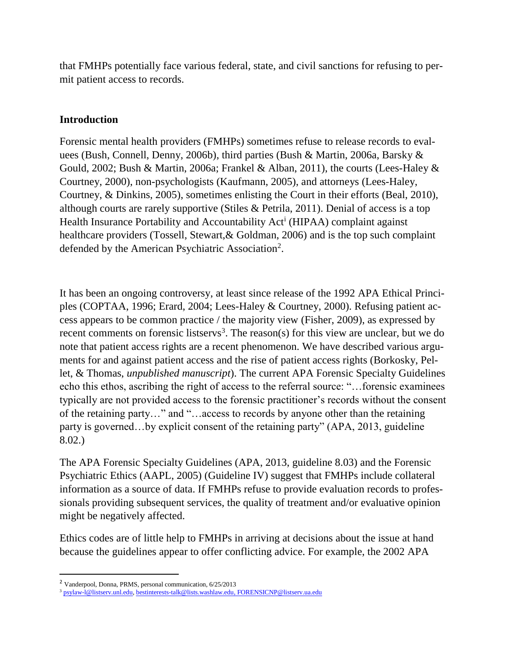that FMHPs potentially face various federal, state, and civil sanctions for refusing to permit patient access to records.

#### **Introduction**

Forensic mental health providers (FMHPs) sometimes refuse to release records to evaluees (Bush, Connell, Denny, 2006b), third parties (Bush & Martin, 2006a, Barsky & Gould, 2002; Bush & Martin, 2006a; Frankel & Alban, 2011), the courts (Lees-Haley & Courtney, 2000), non-psychologists (Kaufmann, 2005), and attorneys (Lees-Haley, Courtney, & Dinkins, 2005), sometimes enlisting the Court in their efforts (Beal, 2010), although courts are rarely supportive (Stiles & Petrila, 2011). Denial of access is a top Health Insurance Portability and Accountability Act<sup>i</sup> (HIPAA) complaint against healthcare providers (Tossell, Stewart, & Goldman, 2006) and is the top such complaint defended by the American Psychiatric Association<sup>2</sup>.

It has been an ongoing controversy, at least since release of the 1992 APA Ethical Principles (COPTAA, 1996; Erard, 2004; Lees-Haley & Courtney, 2000). Refusing patient access appears to be common practice / the majority view (Fisher, 2009), as expressed by recent comments on forensic listservs<sup>3</sup>. The reason(s) for this view are unclear, but we do note that patient access rights are a recent phenomenon. We have described various arguments for and against patient access and the rise of patient access rights (Borkosky, Pellet, & Thomas, *unpublished manuscript*). The current APA Forensic Specialty Guidelines echo this ethos, ascribing the right of access to the referral source: "…forensic examinees typically are not provided access to the forensic practitioner's records without the consent of the retaining party…" and "…access to records by anyone other than the retaining party is governed…by explicit consent of the retaining party" (APA, 2013, guideline 8.02.)

The APA Forensic Specialty Guidelines (APA, 2013, guideline 8.03) and the Forensic Psychiatric Ethics (AAPL, 2005) (Guideline IV) suggest that FMHPs include collateral information as a source of data. If FMHPs refuse to provide evaluation records to professionals providing subsequent services, the quality of treatment and/or evaluative opinion might be negatively affected.

Ethics codes are of little help to FMHPs in arriving at decisions about the issue at hand because the guidelines appear to offer conflicting advice. For example, the 2002 APA

l

<sup>2</sup> Vanderpool, Donna, PRMS, personal communication, 6/25/2013

<sup>3</sup> [psylaw-l@listserv.unl.edu,](mailto:psylaw-l@listserv.unl.edu) [bestinterests-talk@lists.washlaw.edu,](mailto:bestinterests-talk@lists.washlaw.edu) [FORENSICNP@listserv.ua.edu](mailto:FORENSICNP@listserv.ua.edu)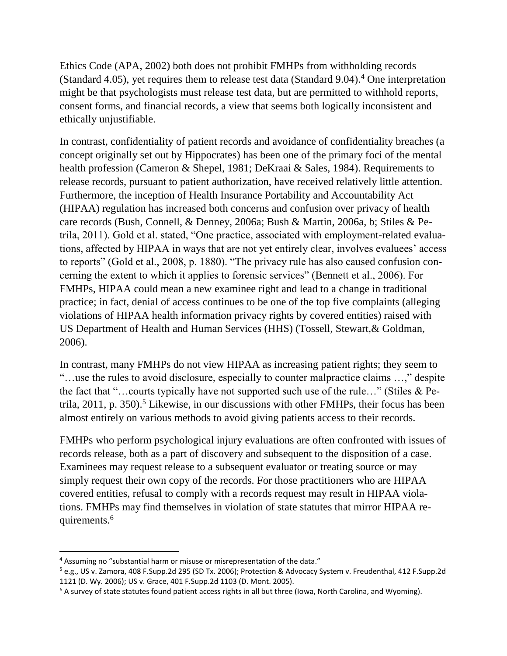Ethics Code (APA, 2002) both does not prohibit FMHPs from withholding records (Standard 4.05), yet requires them to release test data (Standard 9.04).<sup>4</sup> One interpretation might be that psychologists must release test data, but are permitted to withhold reports, consent forms, and financial records, a view that seems both logically inconsistent and ethically unjustifiable.

In contrast, confidentiality of patient records and avoidance of confidentiality breaches (a concept originally set out by Hippocrates) has been one of the primary foci of the mental health profession (Cameron & Shepel, 1981; DeKraai & Sales, 1984). Requirements to release records, pursuant to patient authorization, have received relatively little attention. Furthermore, the inception of Health Insurance Portability and Accountability Act (HIPAA) regulation has increased both concerns and confusion over privacy of health care records (Bush, Connell, & Denney, 2006a; Bush & Martin, 2006a, b; Stiles & Petrila, 2011). Gold et al. stated, "One practice, associated with employment-related evaluations, affected by HIPAA in ways that are not yet entirely clear, involves evaluees' access to reports" (Gold et al., 2008, p. 1880). "The privacy rule has also caused confusion concerning the extent to which it applies to forensic services" (Bennett et al., 2006). For FMHPs, HIPAA could mean a new examinee right and lead to a change in traditional practice; in fact, denial of access continues to be one of the top five complaints (alleging violations of HIPAA health information privacy rights by covered entities) raised with US Department of Health and Human Services (HHS) (Tossell, Stewart,& Goldman, 2006).

In contrast, many FMHPs do not view HIPAA as increasing patient rights; they seem to "…use the rules to avoid disclosure, especially to counter malpractice claims …," despite the fact that "…courts typically have not supported such use of the rule…" (Stiles & Petrila, 2011, p. 350).<sup>5</sup> Likewise, in our discussions with other FMHPs, their focus has been almost entirely on various methods to avoid giving patients access to their records.

FMHPs who perform psychological injury evaluations are often confronted with issues of records release, both as a part of discovery and subsequent to the disposition of a case. Examinees may request release to a subsequent evaluator or treating source or may simply request their own copy of the records. For those practitioners who are HIPAA covered entities, refusal to comply with a records request may result in HIPAA violations. FMHPs may find themselves in violation of state statutes that mirror HIPAA requirements.<sup>6</sup>

 $\overline{a}$ 

<sup>&</sup>lt;sup>4</sup> Assuming no "substantial harm or misuse or misrepresentation of the data."

<sup>5</sup> e.g., US v. Zamora, 408 F.Supp.2d 295 (SD Tx. 2006); Protection & Advocacy System v. Freudenthal, 412 F.Supp.2d 1121 (D. Wy. 2006); US v. Grace, 401 F.Supp.2d 1103 (D. Mont. 2005).

 $6$  A survey of state statutes found patient access rights in all but three (Iowa, North Carolina, and Wyoming).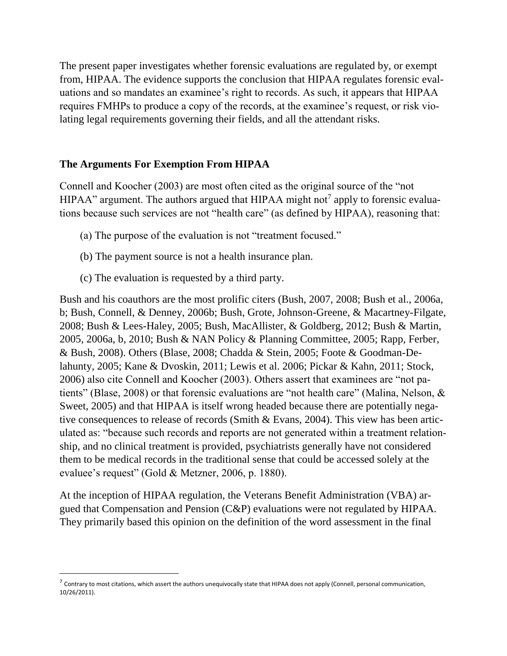The present paper investigates whether forensic evaluations are regulated by, or exempt from, HIPAA. The evidence supports the conclusion that HIPAA regulates forensic evaluations and so mandates an examinee's right to records. As such, it appears that HIPAA requires FMHPs to produce a copy of the records, at the examinee's request, or risk violating legal requirements governing their fields, and all the attendant risks.

## **The Arguments For Exemption From HIPAA**

Connell and Koocher (2003) are most often cited as the original source of the "not HIPAA" argument. The authors argued that HIPAA might not<sup>7</sup> apply to forensic evaluations because such services are not "health care" (as defined by HIPAA), reasoning that:

- (a) The purpose of the evaluation is not "treatment focused."
- (b) The payment source is not a health insurance plan.
- (c) The evaluation is requested by a third party.

 $\overline{\phantom{a}}$ 

Bush and his coauthors are the most prolific citers (Bush, 2007, 2008; Bush et al., 2006a, b; Bush, Connell, & Denney, 2006b; Bush, Grote, Johnson-Greene, & Macartney-Filgate, 2008; Bush & Lees-Haley, 2005; Bush, MacAllister, & Goldberg, 2012; Bush & Martin, 2005, 2006a, b, 2010; Bush & NAN Policy & Planning Committee, 2005; Rapp, Ferber, & Bush, 2008). Others (Blase, 2008; Chadda & Stein, 2005; Foote & Goodman-Delahunty, 2005; Kane & Dvoskin, 2011; Lewis et al. 2006; Pickar & Kahn, 2011; Stock, 2006) also cite Connell and Koocher (2003). Others assert that examinees are "not patients" (Blase, 2008) or that forensic evaluations are "not health care" (Malina, Nelson, & Sweet, 2005) and that HIPAA is itself wrong headed because there are potentially negative consequences to release of records (Smith & Evans, 2004). This view has been articulated as: "because such records and reports are not generated within a treatment relationship, and no clinical treatment is provided, psychiatrists generally have not considered them to be medical records in the traditional sense that could be accessed solely at the evaluee's request" (Gold & Metzner, 2006, p. 1880).

At the inception of HIPAA regulation, the Veterans Benefit Administration (VBA) argued that Compensation and Pension (C&P) evaluations were not regulated by HIPAA. They primarily based this opinion on the definition of the word assessment in the final

 $^7$  Contrary to most citations, which assert the authors unequivocally state that HIPAA does not apply (Connell, personal communication, 10/26/2011).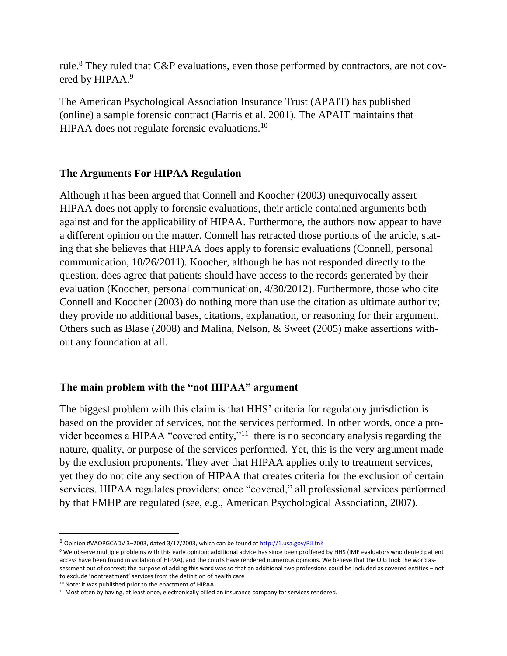rule.<sup>8</sup> They ruled that C&P evaluations, even those performed by contractors, are not covered by HIPAA.<sup>9</sup>

The American Psychological Association Insurance Trust (APAIT) has published (online) a sample forensic contract (Harris et al. 2001). The APAIT maintains that HIPAA does not regulate forensic evaluations.<sup>10</sup>

## **The Arguments For HIPAA Regulation**

Although it has been argued that Connell and Koocher (2003) unequivocally assert HIPAA does not apply to forensic evaluations, their article contained arguments both against and for the applicability of HIPAA. Furthermore, the authors now appear to have a different opinion on the matter. Connell has retracted those portions of the article, stating that she believes that HIPAA does apply to forensic evaluations (Connell, personal communication, 10/26/2011). Koocher, although he has not responded directly to the question, does agree that patients should have access to the records generated by their evaluation (Koocher, personal communication, 4/30/2012). Furthermore, those who cite Connell and Koocher (2003) do nothing more than use the citation as ultimate authority; they provide no additional bases, citations, explanation, or reasoning for their argument. Others such as Blase (2008) and Malina, Nelson, & Sweet (2005) make assertions without any foundation at all.

## **The main problem with the "not HIPAA" argument**

The biggest problem with this claim is that HHS' criteria for regulatory jurisdiction is based on the provider of services, not the services performed. In other words, once a provider becomes a HIPAA "covered entity,"<sup>11</sup> there is no secondary analysis regarding the nature, quality, or purpose of the services performed. Yet, this is the very argument made by the exclusion proponents. They aver that HIPAA applies only to treatment services, yet they do not cite any section of HIPAA that creates criteria for the exclusion of certain services. HIPAA regulates providers; once "covered," all professional services performed by that FMHP are regulated (see, e.g., American Psychological Association, 2007).

<sup>10</sup> Note: it was published prior to the enactment of HIPAA.

 $\overline{\phantom{a}}$ 

<sup>8</sup> Opinion #VAOPGCADV 3-2003, dated 3/17/2003, which can be found a[t http://1.usa.gov/PJLtnK](http://1.usa.gov/PJLtnK)

<sup>9</sup> We observe multiple problems with this early opinion; additional advice has since been proffered by HHS (IME evaluators who denied patient access have been found in violation of HIPAA), and the courts have rendered numerous opinions. We believe that the OIG took the word assessment out of context; the purpose of adding this word was so that an additional two professions could be included as covered entities – not to exclude 'nontreatment' services from the definition of health care

<sup>&</sup>lt;sup>11</sup> Most often by having, at least once, electronically billed an insurance company for services rendered.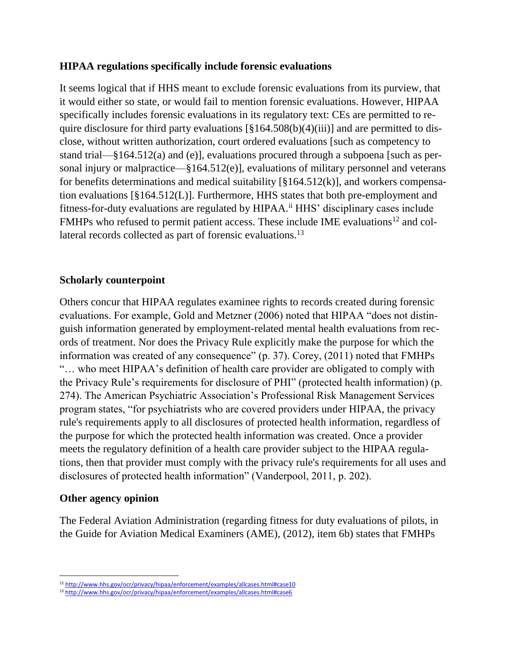#### **HIPAA regulations specifically include forensic evaluations**

It seems logical that if HHS meant to exclude forensic evaluations from its purview, that it would either so state, or would fail to mention forensic evaluations. However, HIPAA specifically includes forensic evaluations in its regulatory text: CEs are permitted to require disclosure for third party evaluations  $\lceil \frac{6}{9} \cdot 164.508(b)(4)(iii) \rceil$  and are permitted to disclose, without written authorization, court ordered evaluations [such as competency to stand trial—§164.512(a) and (e)], evaluations procured through a subpoena [such as personal injury or malpractice—§164.512(e)], evaluations of military personnel and veterans for benefits determinations and medical suitability  $[\S 164.512(k)]$ , and workers compensation evaluations [§164.512(L)]. Furthermore, HHS states that both pre-employment and fitness-for-duty evaluations are regulated by HIPAA.ii HHS' disciplinary cases include FMHPs who refused to permit patient access. These include IME evaluations<sup>12</sup> and collateral records collected as part of forensic evaluations.<sup>13</sup>

## **Scholarly counterpoint**

Others concur that HIPAA regulates examinee rights to records created during forensic evaluations. For example, Gold and Metzner (2006) noted that HIPAA "does not distinguish information generated by employment-related mental health evaluations from records of treatment. Nor does the Privacy Rule explicitly make the purpose for which the information was created of any consequence" (p. 37). Corey, (2011) noted that FMHPs "… who meet HIPAA's definition of health care provider are obligated to comply with the Privacy Rule's requirements for disclosure of PHI" (protected health information) (p. 274). The American Psychiatric Association's Professional Risk Management Services program states, "for psychiatrists who are covered providers under HIPAA, the privacy rule's requirements apply to all disclosures of protected health information, regardless of the purpose for which the protected health information was created. Once a provider meets the regulatory definition of a health care provider subject to the HIPAA regulations, then that provider must comply with the privacy rule's requirements for all uses and disclosures of protected health information" (Vanderpool, 2011, p. 202).

#### **Other agency opinion**

The Federal Aviation Administration (regarding fitness for duty evaluations of pilots, in the Guide for Aviation Medical Examiners (AME), (2012), item 6b) states that FMHPs

 $\overline{a}$ 12 http://www.hhs.gov/ocr/privacy/hipaa/enforcement/examples/allcases.html#case10

<sup>13</sup> <http://www.hhs.gov/ocr/privacy/hipaa/enforcement/examples/allcases.html#case6>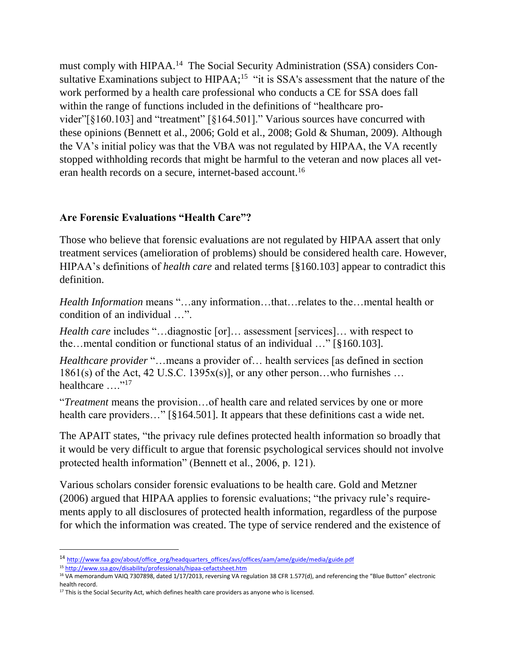must comply with HIPAA.<sup>14</sup> The Social Security Administration (SSA) considers Consultative Examinations subject to  $HIPAA$ ;<sup>15</sup> "it is SSA's assessment that the nature of the work performed by a health care professional who conducts a CE for SSA does fall within the range of functions included in the definitions of "healthcare provider"[§160.103] and "treatment" [§164.501]." Various sources have concurred with these opinions (Bennett et al., 2006; Gold et al., 2008; Gold & Shuman, 2009). Although the VA's initial policy was that the VBA was not regulated by HIPAA, the VA recently stopped withholding records that might be harmful to the veteran and now places all veteran health records on a secure, internet-based account.<sup>16</sup>

## **Are Forensic Evaluations "Health Care"?**

Those who believe that forensic evaluations are not regulated by HIPAA assert that only treatment services (amelioration of problems) should be considered health care. However, HIPAA's definitions of *health care* and related terms [§160.103] appear to contradict this definition.

*Health Information* means "…any information…that…relates to the…mental health or condition of an individual …".

*Health care* includes "...diagnostic [or]... assessment [services]... with respect to the…mental condition or functional status of an individual …" [§160.103].

*Healthcare provider* "…means a provider of… health services [as defined in section  $1861(s)$  of the Act, 42 U.S.C. 1395 $x(s)$ ], or any other person...who furnishes ... healthcare ...."<sup>17</sup>

"*Treatment* means the provision…of health care and related services by one or more health care providers..." [§164.501]. It appears that these definitions cast a wide net.

The APAIT states, "the privacy rule defines protected health information so broadly that it would be very difficult to argue that forensic psychological services should not involve protected health information" (Bennett et al., 2006, p. 121).

Various scholars consider forensic evaluations to be health care. Gold and Metzner (2006) argued that HIPAA applies to forensic evaluations; "the privacy rule's requirements apply to all disclosures of protected health information, regardless of the purpose for which the information was created. The type of service rendered and the existence of

 $\overline{\phantom{a}}$ 

<sup>14</sup> [http://www.faa.gov/about/office\\_org/headquarters\\_offices/avs/offices/aam/ame/guide/media/guide.pdf](http://www.faa.gov/about/office_org/headquarters_offices/avs/offices/aam/ame/guide/media/guide.pdf)

<sup>15</sup> <http://www.ssa.gov/disability/professionals/hipaa-cefactsheet.htm>

<sup>&</sup>lt;sup>16</sup> VA memorandum VAIQ 7307898, dated 1/17/2013, reversing VA regulation 38 CFR 1.577(d), and referencing the "Blue Button" electronic health record.

<sup>&</sup>lt;sup>17</sup> This is the Social Security Act, which defines health care providers as anyone who is licensed.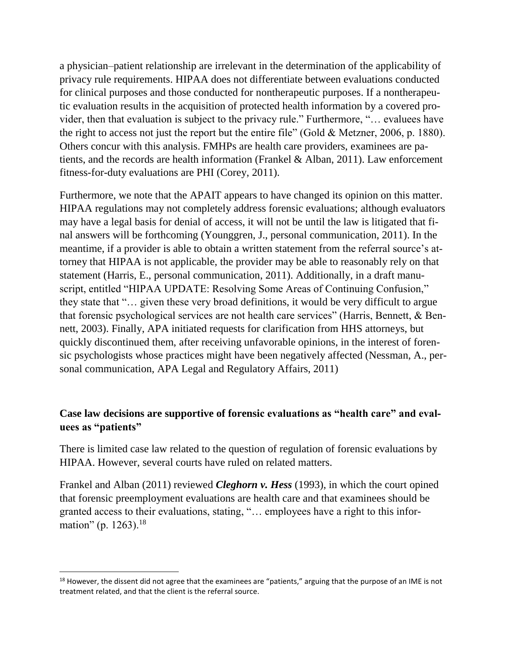a physician–patient relationship are irrelevant in the determination of the applicability of privacy rule requirements. HIPAA does not differentiate between evaluations conducted for clinical purposes and those conducted for nontherapeutic purposes. If a nontherapeutic evaluation results in the acquisition of protected health information by a covered provider, then that evaluation is subject to the privacy rule." Furthermore, "… evaluees have the right to access not just the report but the entire file" (Gold & Metzner, 2006, p. 1880). Others concur with this analysis. FMHPs are health care providers, examinees are patients, and the records are health information (Frankel & Alban, 2011). Law enforcement fitness-for-duty evaluations are PHI (Corey, 2011).

Furthermore, we note that the APAIT appears to have changed its opinion on this matter. HIPAA regulations may not completely address forensic evaluations; although evaluators may have a legal basis for denial of access, it will not be until the law is litigated that final answers will be forthcoming (Younggren, J., personal communication, 2011). In the meantime, if a provider is able to obtain a written statement from the referral source's attorney that HIPAA is not applicable, the provider may be able to reasonably rely on that statement (Harris, E., personal communication, 2011). Additionally, in a draft manuscript, entitled "HIPAA UPDATE: Resolving Some Areas of Continuing Confusion," they state that "… given these very broad definitions, it would be very difficult to argue that forensic psychological services are not health care services" (Harris, Bennett, & Bennett, 2003). Finally, APA initiated requests for clarification from HHS attorneys, but quickly discontinued them, after receiving unfavorable opinions, in the interest of forensic psychologists whose practices might have been negatively affected (Nessman, A., personal communication, APA Legal and Regulatory Affairs, 2011)

## **Case law decisions are supportive of forensic evaluations as "health care" and evaluees as "patients"**

There is limited case law related to the question of regulation of forensic evaluations by HIPAA. However, several courts have ruled on related matters.

Frankel and Alban (2011) reviewed *Cleghorn v. Hess* (1993), in which the court opined that forensic preemployment evaluations are health care and that examinees should be granted access to their evaluations, stating, "… employees have a right to this information" (p. 1263).<sup>18</sup>

l  $18$  However, the dissent did not agree that the examinees are "patients," arguing that the purpose of an IME is not treatment related, and that the client is the referral source.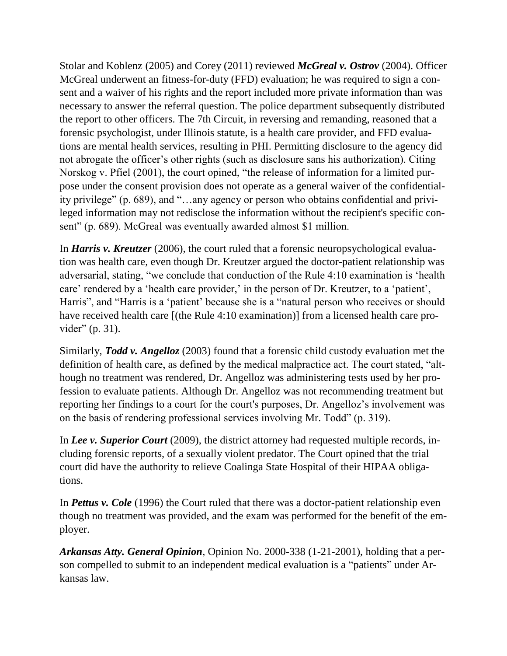Stolar and Koblenz (2005) and Corey (2011) reviewed *McGreal v. Ostrov* (2004). Officer McGreal underwent an fitness-for-duty (FFD) evaluation; he was required to sign a consent and a waiver of his rights and the report included more private information than was necessary to answer the referral question. The police department subsequently distributed the report to other officers. The 7th Circuit, in reversing and remanding, reasoned that a forensic psychologist, under Illinois statute, is a health care provider, and FFD evaluations are mental health services, resulting in PHI. Permitting disclosure to the agency did not abrogate the officer's other rights (such as disclosure sans his authorization). Citing Norskog v. Pfiel (2001), the court opined, "the release of information for a limited purpose under the consent provision does not operate as a general waiver of the confidentiality privilege" (p. 689), and "…any agency or person who obtains confidential and privileged information may not redisclose the information without the recipient's specific consent" (p. 689). McGreal was eventually awarded almost \$1 million.

In *Harris v. Kreutzer* (2006), the court ruled that a forensic neuropsychological evaluation was health care, even though Dr. Kreutzer argued the doctor-patient relationship was adversarial, stating, "we conclude that conduction of the Rule 4:10 examination is 'health care' rendered by a 'health care provider,' in the person of Dr. Kreutzer, to a 'patient', Harris", and "Harris is a 'patient' because she is a "natural person who receives or should have received health care [(the Rule 4:10 examination)] from a licensed health care provider" (p. 31).

Similarly, *Todd v. Angelloz* (2003) found that a forensic child custody evaluation met the definition of health care, as defined by the medical malpractice act. The court stated, "although no treatment was rendered, Dr. Angelloz was administering tests used by her profession to evaluate patients. Although Dr. Angelloz was not recommending treatment but reporting her findings to a court for the court's purposes, Dr. Angelloz's involvement was on the basis of rendering professional services involving Mr. Todd" (p. 319).

In *Lee v. Superior Court* (2009), the district attorney had requested multiple records, including forensic reports, of a sexually violent predator. The Court opined that the trial court did have the authority to relieve Coalinga State Hospital of their HIPAA obligations.

In *Pettus v. Cole* (1996) the Court ruled that there was a doctor-patient relationship even though no treatment was provided, and the exam was performed for the benefit of the employer.

*Arkansas Atty. General Opinion*, Opinion No. 2000-338 (1-21-2001), holding that a person compelled to submit to an independent medical evaluation is a "patients" under Arkansas law.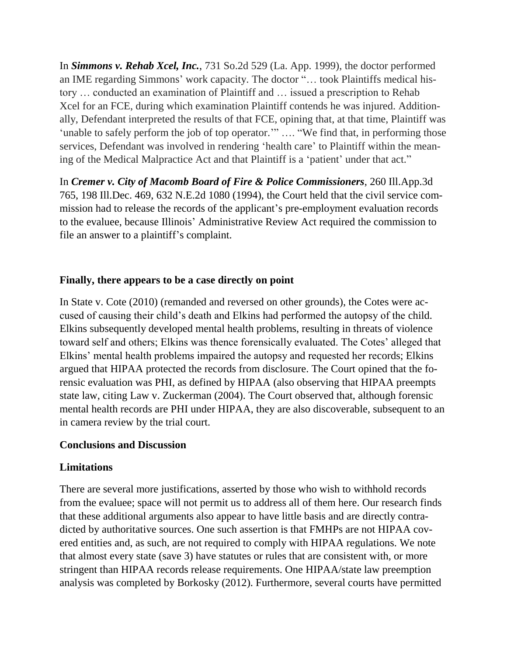In *Simmons v. Rehab Xcel, Inc.*, 731 So.2d 529 (La. App. 1999), the doctor performed an IME regarding Simmons' work capacity. The doctor "… took Plaintiffs medical history … conducted an examination of Plaintiff and … issued a prescription to Rehab Xcel for an FCE, during which examination Plaintiff contends he was injured. Additionally, Defendant interpreted the results of that FCE, opining that, at that time, Plaintiff was 'unable to safely perform the job of top operator.'" …. "We find that, in performing those services, Defendant was involved in rendering 'health care' to Plaintiff within the meaning of the Medical Malpractice Act and that Plaintiff is a 'patient' under that act."

In *Cremer v. City of Macomb Board of Fire & Police Commissioners*, 260 Ill.App.3d 765, 198 Ill.Dec. 469, 632 N.E.2d 1080 (1994), the Court held that the civil service commission had to release the records of the applicant's pre-employment evaluation records to the evaluee, because Illinois' Administrative Review Act required the commission to file an answer to a plaintiff's complaint.

# **Finally, there appears to be a case directly on point**

In State v. Cote (2010) (remanded and reversed on other grounds), the Cotes were accused of causing their child's death and Elkins had performed the autopsy of the child. Elkins subsequently developed mental health problems, resulting in threats of violence toward self and others; Elkins was thence forensically evaluated. The Cotes' alleged that Elkins' mental health problems impaired the autopsy and requested her records; Elkins argued that HIPAA protected the records from disclosure. The Court opined that the forensic evaluation was PHI, as defined by HIPAA (also observing that HIPAA preempts state law, citing Law v. Zuckerman (2004). The Court observed that, although forensic mental health records are PHI under HIPAA, they are also discoverable, subsequent to an in camera review by the trial court.

## **Conclusions and Discussion**

# **Limitations**

There are several more justifications, asserted by those who wish to withhold records from the evaluee; space will not permit us to address all of them here. Our research finds that these additional arguments also appear to have little basis and are directly contradicted by authoritative sources. One such assertion is that FMHPs are not HIPAA covered entities and, as such, are not required to comply with HIPAA regulations. We note that almost every state (save 3) have statutes or rules that are consistent with, or more stringent than HIPAA records release requirements. One HIPAA/state law preemption analysis was completed by Borkosky (2012). Furthermore, several courts have permitted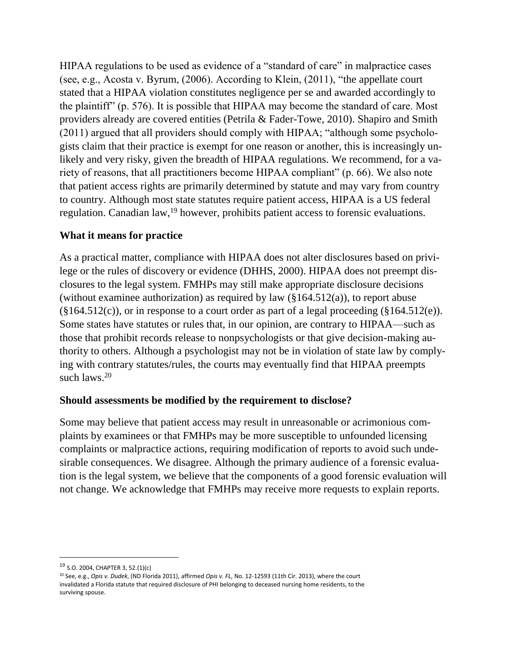HIPAA regulations to be used as evidence of a "standard of care" in malpractice cases (see, e.g., Acosta v. Byrum, (2006). According to Klein, (2011), "the appellate court stated that a HIPAA violation constitutes negligence per se and awarded accordingly to the plaintiff" (p. 576). It is possible that HIPAA may become the standard of care. Most providers already are covered entities (Petrila & Fader-Towe, 2010). Shapiro and Smith (2011) argued that all providers should comply with HIPAA; "although some psychologists claim that their practice is exempt for one reason or another, this is increasingly unlikely and very risky, given the breadth of HIPAA regulations. We recommend, for a variety of reasons, that all practitioners become HIPAA compliant" (p. 66). We also note that patient access rights are primarily determined by statute and may vary from country to country. Although most state statutes require patient access, HIPAA is a US federal regulation. Canadian law,<sup>19</sup> however, prohibits patient access to forensic evaluations.

## **What it means for practice**

As a practical matter, compliance with HIPAA does not alter disclosures based on privilege or the rules of discovery or evidence (DHHS, 2000). HIPAA does not preempt disclosures to the legal system. FMHPs may still make appropriate disclosure decisions (without examinee authorization) as required by law (§164.512(a)), to report abuse  $(\S164.512(c))$ , or in response to a court order as part of a legal proceeding  $(\S164.512(e))$ . Some states have statutes or rules that, in our opinion, are contrary to HIPAA—such as those that prohibit records release to nonpsychologists or that give decision-making authority to others. Although a psychologist may not be in violation of state law by complying with contrary statutes/rules, the courts may eventually find that HIPAA preempts such laws.<sup>20</sup>

## **Should assessments be modified by the requirement to disclose?**

Some may believe that patient access may result in unreasonable or acrimonious complaints by examinees or that FMHPs may be more susceptible to unfounded licensing complaints or malpractice actions, requiring modification of reports to avoid such undesirable consequences. We disagree. Although the primary audience of a forensic evaluation is the legal system, we believe that the components of a good forensic evaluation will not change. We acknowledge that FMHPs may receive more requests to explain reports.

 $\overline{\phantom{a}}$ 

<sup>19</sup> S.O. 2004, CHAPTER 3, 52.(1)(c)

<sup>20</sup> See, e.g., *Opis v. Dudek*, (ND Florida 2011), affirmed *Opis v. FL*, No. 12-12593 (11th Cir. 2013), where the court invalidated a Florida statute that required disclosure of PHI belonging to deceased nursing home residents, to the surviving spouse.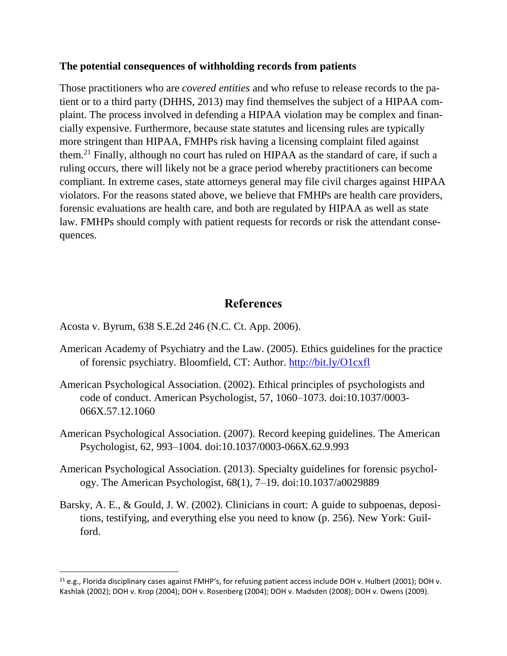#### **The potential consequences of withholding records from patients**

Those practitioners who are *covered entities* and who refuse to release records to the patient or to a third party (DHHS, 2013) may find themselves the subject of a HIPAA complaint. The process involved in defending a HIPAA violation may be complex and financially expensive. Furthermore, because state statutes and licensing rules are typically more stringent than HIPAA, FMHPs risk having a licensing complaint filed against them.<sup>21</sup> Finally, although no court has ruled on HIPAA as the standard of care, if such a ruling occurs, there will likely not be a grace period whereby practitioners can become compliant. In extreme cases, state attorneys general may file civil charges against HIPAA violators. For the reasons stated above, we believe that FMHPs are health care providers, forensic evaluations are health care, and both are regulated by HIPAA as well as state law. FMHPs should comply with patient requests for records or risk the attendant consequences.

# **References**

Acosta v. Byrum, 638 S.E.2d 246 (N.C. Ct. App. 2006).

l

- American Academy of Psychiatry and the Law. (2005). Ethics guidelines for the practice of forensic psychiatry. Bloomfield, CT: Author.<http://bit.ly/O1cxfl>
- American Psychological Association. (2002). Ethical principles of psychologists and code of conduct. American Psychologist, 57, 1060–1073. doi:10.1037/0003- 066X.57.12.1060
- American Psychological Association. (2007). Record keeping guidelines. The American Psychologist, 62, 993–1004. doi:10.1037/0003-066X.62.9.993
- American Psychological Association. (2013). Specialty guidelines for forensic psychology. The American Psychologist, 68(1), 7–19. doi:10.1037/a0029889
- Barsky, A. E., & Gould, J. W. (2002). Clinicians in court: A guide to subpoenas, depositions, testifying, and everything else you need to know (p. 256). New York: Guilford.

 $21$  e.g., Florida disciplinary cases against FMHP's, for refusing patient access include DOH v. Hulbert (2001); DOH v. Kashlak (2002); DOH v. Krop (2004); DOH v. Rosenberg (2004); DOH v. Madsden (2008); DOH v. Owens (2009).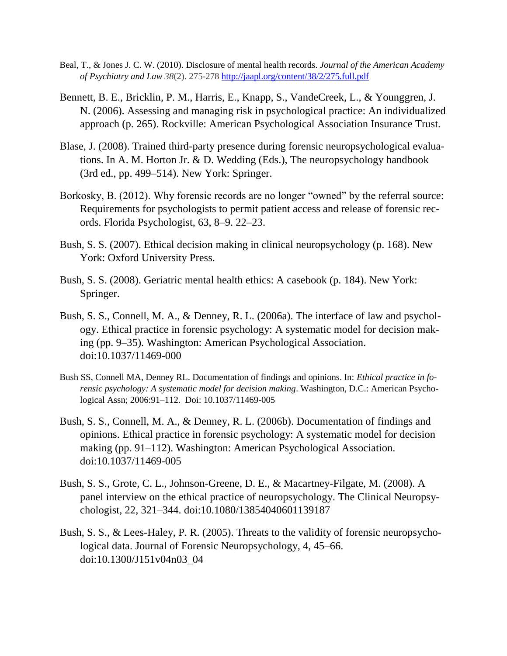- Beal, T., & Jones J. C. W. (2010). Disclosure of mental health records. *Journal of the American Academy of Psychiatry and Law 38*(2). 275-278 <http://jaapl.org/content/38/2/275.full.pdf>
- Bennett, B. E., Bricklin, P. M., Harris, E., Knapp, S., VandeCreek, L., & Younggren, J. N. (2006). Assessing and managing risk in psychological practice: An individualized approach (p. 265). Rockville: American Psychological Association Insurance Trust.
- Blase, J. (2008). Trained third-party presence during forensic neuropsychological evaluations. In A. M. Horton Jr. & D. Wedding (Eds.), The neuropsychology handbook (3rd ed., pp. 499–514). New York: Springer.
- Borkosky, B. (2012). Why forensic records are no longer "owned" by the referral source: Requirements for psychologists to permit patient access and release of forensic records. Florida Psychologist, 63, 8–9. 22–23.
- Bush, S. S. (2007). Ethical decision making in clinical neuropsychology (p. 168). New York: Oxford University Press.
- Bush, S. S. (2008). Geriatric mental health ethics: A casebook (p. 184). New York: Springer.
- Bush, S. S., Connell, M. A., & Denney, R. L. (2006a). The interface of law and psychology. Ethical practice in forensic psychology: A systematic model for decision making (pp. 9–35). Washington: American Psychological Association. doi:10.1037/11469-000
- Bush SS, Connell MA, Denney RL. Documentation of findings and opinions. In: *Ethical practice in forensic psychology: A systematic model for decision making*. Washington, D.C.: American Psychological Assn; 2006:91–112. Doi: 10.1037/11469-005
- Bush, S. S., Connell, M. A., & Denney, R. L. (2006b). Documentation of findings and opinions. Ethical practice in forensic psychology: A systematic model for decision making (pp. 91–112). Washington: American Psychological Association. doi:10.1037/11469-005
- Bush, S. S., Grote, C. L., Johnson-Greene, D. E., & Macartney-Filgate, M. (2008). A panel interview on the ethical practice of neuropsychology. The Clinical Neuropsychologist, 22, 321–344. doi:10.1080/13854040601139187
- Bush, S. S., & Lees-Haley, P. R. (2005). Threats to the validity of forensic neuropsychological data. Journal of Forensic Neuropsychology, 4, 45–66. doi:10.1300/J151v04n03\_04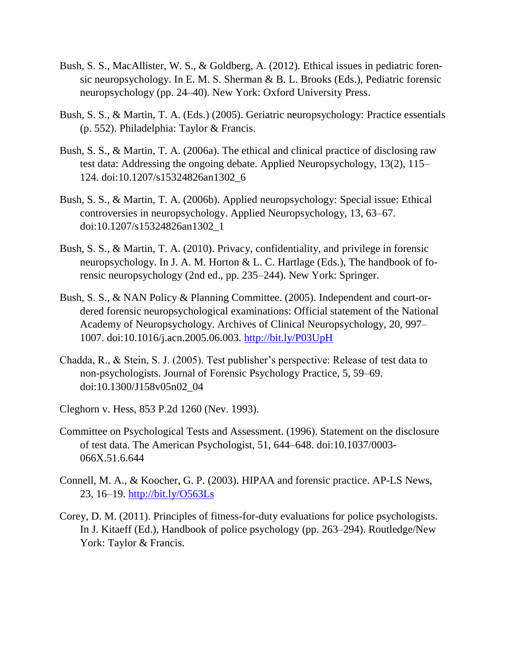- Bush, S. S., MacAllister, W. S., & Goldberg, A. (2012). Ethical issues in pediatric forensic neuropsychology. In E. M. S. Sherman & B. L. Brooks (Eds.), Pediatric forensic neuropsychology (pp. 24–40). New York: Oxford University Press.
- Bush, S. S., & Martin, T. A. (Eds.) (2005). Geriatric neuropsychology: Practice essentials (p. 552). Philadelphia: Taylor & Francis.
- Bush, S. S., & Martin, T. A. (2006a). The ethical and clinical practice of disclosing raw test data: Addressing the ongoing debate. Applied Neuropsychology, 13(2), 115– 124. doi:10.1207/s15324826an1302\_6
- Bush, S. S., & Martin, T. A. (2006b). Applied neuropsychology: Special issue: Ethical controversies in neuropsychology. Applied Neuropsychology, 13, 63–67. doi:10.1207/s15324826an1302\_1
- Bush, S. S., & Martin, T. A. (2010). Privacy, confidentiality, and privilege in forensic neuropsychology. In J. A. M. Horton & L. C. Hartlage (Eds.), The handbook of forensic neuropsychology (2nd ed., pp. 235–244). New York: Springer.
- Bush, S. S., & NAN Policy & Planning Committee. (2005). Independent and court-ordered forensic neuropsychological examinations: Official statement of the National Academy of Neuropsychology. Archives of Clinical Neuropsychology, 20, 997– 1007. doi:10.1016/j.acn.2005.06.003.<http://bit.ly/P03UpH>
- Chadda, R., & Stein, S. J. (2005). Test publisher's perspective: Release of test data to non-psychologists. Journal of Forensic Psychology Practice, 5, 59–69. doi:10.1300/J158v05n02\_04
- Cleghorn v. Hess, 853 P.2d 1260 (Nev. 1993).
- Committee on Psychological Tests and Assessment. (1996). Statement on the disclosure of test data. The American Psychologist, 51, 644–648. doi:10.1037/0003- 066X.51.6.644
- Connell, M. A., & Koocher, G. P. (2003). HIPAA and forensic practice. AP-LS News, 23, 16–19.<http://bit.ly/O563Ls>
- Corey, D. M. (2011). Principles of fitness-for-duty evaluations for police psychologists. In J. Kitaeff (Ed.), Handbook of police psychology (pp. 263–294). Routledge/New York: Taylor & Francis.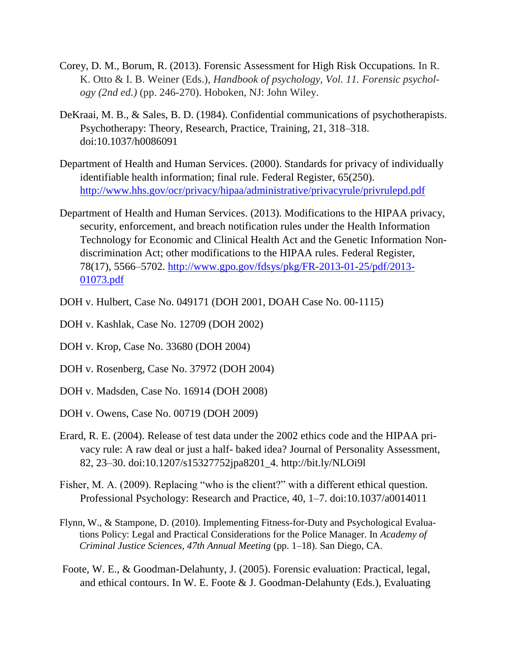- Corey, D. M., Borum, R. (2013). Forensic Assessment for High Risk Occupations. In R. K. Otto & I. B. Weiner (Eds.), *Handbook of psychology, Vol. 11. Forensic psychology (2nd ed.)* (pp. 246-270). Hoboken, NJ: John Wiley.
- DeKraai, M. B., & Sales, B. D. (1984). Confidential communications of psychotherapists. Psychotherapy: Theory, Research, Practice, Training, 21, 318–318. doi:10.1037/h0086091
- Department of Health and Human Services. (2000). Standards for privacy of individually identifiable health information; final rule. Federal Register, 65(250). <http://www.hhs.gov/ocr/privacy/hipaa/administrative/privacyrule/privrulepd.pdf>
- Department of Health and Human Services. (2013). Modifications to the HIPAA privacy, security, enforcement, and breach notification rules under the Health Information Technology for Economic and Clinical Health Act and the Genetic Information Nondiscrimination Act; other modifications to the HIPAA rules. Federal Register, 78(17), 5566–5702. [http://www.gpo.gov/fdsys/pkg/FR-2013-01-25/pdf/2013-](http://www.gpo.gov/fdsys/pkg/FR-2013-01-25/pdf/2013-01073.pdf) [01073.pdf](http://www.gpo.gov/fdsys/pkg/FR-2013-01-25/pdf/2013-01073.pdf)
- DOH v. Hulbert, Case No. 049171 (DOH 2001, DOAH Case No. 00-1115)
- DOH v. Kashlak, Case No. 12709 (DOH 2002)
- DOH v. Krop, Case No. 33680 (DOH 2004)
- DOH v. Rosenberg, Case No. 37972 (DOH 2004)
- DOH v. Madsden, Case No. 16914 (DOH 2008)
- DOH v. Owens, Case No. 00719 (DOH 2009)
- Erard, R. E. (2004). Release of test data under the 2002 ethics code and the HIPAA privacy rule: A raw deal or just a half- baked idea? Journal of Personality Assessment, 82, 23–30. doi:10.1207/s15327752jpa8201\_4. http://bit.ly/NLOi9l
- Fisher, M. A. (2009). Replacing "who is the client?" with a different ethical question. Professional Psychology: Research and Practice, 40, 1–7. doi:10.1037/a0014011
- Flynn, W., & Stampone, D. (2010). Implementing Fitness-for-Duty and Psychological Evaluations Policy: Legal and Practical Considerations for the Police Manager. In *Academy of Criminal Justice Sciences, 47th Annual Meeting* (pp. 1–18). San Diego, CA.
- Foote, W. E., & Goodman-Delahunty, J. (2005). Forensic evaluation: Practical, legal, and ethical contours. In W. E. Foote & J. Goodman-Delahunty (Eds.), Evaluating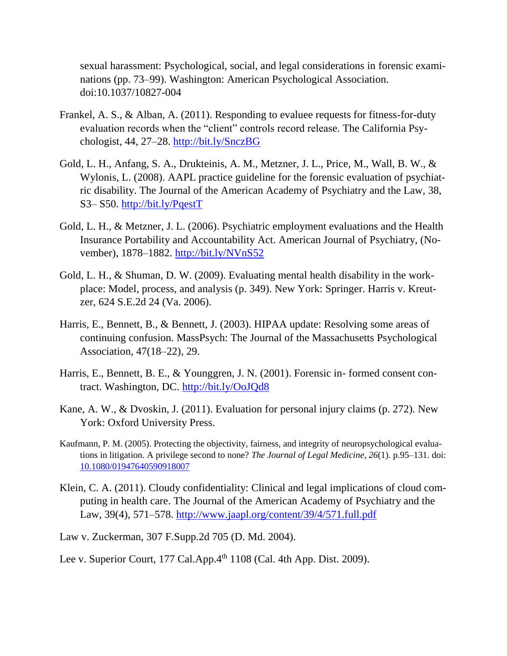sexual harassment: Psychological, social, and legal considerations in forensic examinations (pp. 73–99). Washington: American Psychological Association. doi:10.1037/10827-004

- Frankel, A. S., & Alban, A. (2011). Responding to evaluee requests for fitness-for-duty evaluation records when the "client" controls record release. The California Psychologist, 44, 27–28.<http://bit.ly/SnczBG>
- Gold, L. H., Anfang, S. A., Drukteinis, A. M., Metzner, J. L., Price, M., Wall, B. W., & Wylonis, L. (2008). AAPL practice guideline for the forensic evaluation of psychiatric disability. The Journal of the American Academy of Psychiatry and the Law, 38, S3– S50.<http://bit.ly/PqestT>
- Gold, L. H., & Metzner, J. L. (2006). Psychiatric employment evaluations and the Health Insurance Portability and Accountability Act. American Journal of Psychiatry, (November), 1878–1882. <http://bit.ly/NVnS52>
- Gold, L. H., & Shuman, D. W. (2009). Evaluating mental health disability in the workplace: Model, process, and analysis (p. 349). New York: Springer. Harris v. Kreutzer, 624 S.E.2d 24 (Va. 2006).
- Harris, E., Bennett, B., & Bennett, J. (2003). HIPAA update: Resolving some areas of continuing confusion. MassPsych: The Journal of the Massachusetts Psychological Association, 47(18–22), 29.
- Harris, E., Bennett, B. E., & Younggren, J. N. (2001). Forensic in- formed consent contract. Washington, DC.<http://bit.ly/OoJQd8>
- Kane, A. W., & Dvoskin, J. (2011). Evaluation for personal injury claims (p. 272). New York: Oxford University Press.
- Kaufmann, P. M. (2005). Protecting the objectivity, fairness, and integrity of neuropsychological evaluations in litigation. A privilege second to none? *The Journal of Legal Medicine, 26*(1). p.95–131. doi: [10.1080/01947640590918007](http://doi.org/cq8mjn)
- Klein, C. A. (2011). Cloudy confidentiality: Clinical and legal implications of cloud computing in health care. The Journal of the American Academy of Psychiatry and the Law, 39(4), 571–578. <http://www.jaapl.org/content/39/4/571.full.pdf>

Law v. Zuckerman, 307 F.Supp.2d 705 (D. Md. 2004).

Lee v. Superior Court, 177 Cal.App.4<sup>th</sup> 1108 (Cal. 4th App. Dist. 2009).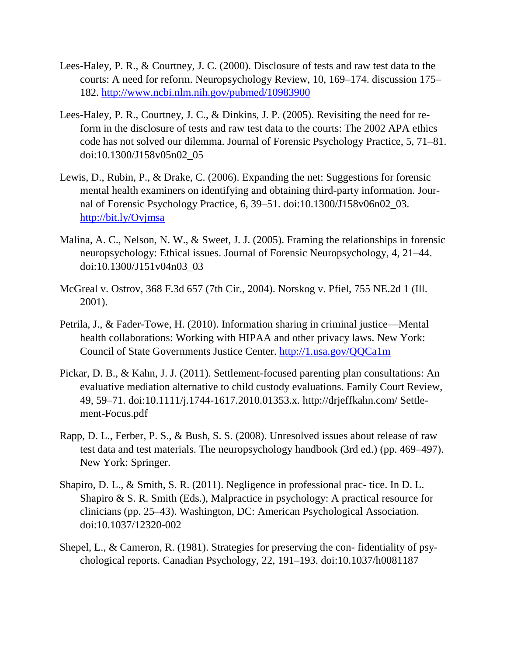- Lees-Haley, P. R., & Courtney, J. C. (2000). Disclosure of tests and raw test data to the courts: A need for reform. Neuropsychology Review, 10, 169–174. discussion 175– 182. <http://www.ncbi.nlm.nih.gov/pubmed/10983900>
- Lees-Haley, P. R., Courtney, J. C., & Dinkins, J. P. (2005). Revisiting the need for reform in the disclosure of tests and raw test data to the courts: The 2002 APA ethics code has not solved our dilemma. Journal of Forensic Psychology Practice, 5, 71–81. doi:10.1300/J158v05n02\_05
- Lewis, D., Rubin, P., & Drake, C. (2006). Expanding the net: Suggestions for forensic mental health examiners on identifying and obtaining third-party information. Journal of Forensic Psychology Practice, 6, 39–51. doi:10.1300/J158v06n02\_03. <http://bit.ly/Ovjmsa>
- Malina, A. C., Nelson, N. W., & Sweet, J. J. (2005). Framing the relationships in forensic neuropsychology: Ethical issues. Journal of Forensic Neuropsychology, 4, 21–44. doi:10.1300/J151v04n03\_03
- McGreal v. Ostrov, 368 F.3d 657 (7th Cir., 2004). Norskog v. Pfiel, 755 NE.2d 1 (Ill. 2001).
- Petrila, J., & Fader-Towe, H. (2010). Information sharing in criminal justice—Mental health collaborations: Working with HIPAA and other privacy laws. New York: Council of State Governments Justice Center.<http://1.usa.gov/QQCa1m>
- Pickar, D. B., & Kahn, J. J. (2011). Settlement-focused parenting plan consultations: An evaluative mediation alternative to child custody evaluations. Family Court Review, 49, 59–71. doi:10.1111/j.1744-1617.2010.01353.x. http://drjeffkahn.com/ Settlement-Focus.pdf
- Rapp, D. L., Ferber, P. S., & Bush, S. S. (2008). Unresolved issues about release of raw test data and test materials. The neuropsychology handbook (3rd ed.) (pp. 469–497). New York: Springer.
- Shapiro, D. L., & Smith, S. R. (2011). Negligence in professional prac- tice. In D. L. Shapiro & S. R. Smith (Eds.), Malpractice in psychology: A practical resource for clinicians (pp. 25–43). Washington, DC: American Psychological Association. doi:10.1037/12320-002
- Shepel, L., & Cameron, R. (1981). Strategies for preserving the con- fidentiality of psychological reports. Canadian Psychology, 22, 191–193. doi:10.1037/h0081187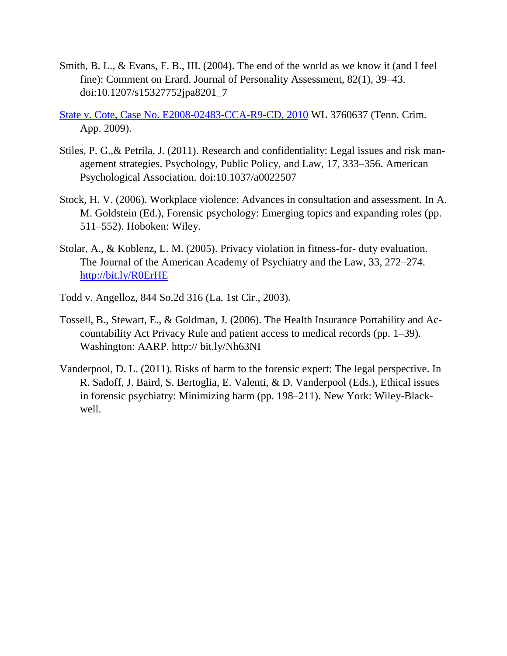- Smith, B. L., & Evans, F. B., III. (2004). The end of the world as we know it (and I feel fine): Comment on Erard. Journal of Personality Assessment, 82(1), 39–43. doi:10.1207/s15327752jpa8201\_7
- [State v. Cote, Case No. E2008-02483-CCA-R9-CD, 2010](http://scholar.google.com/scholar?scidkt=4080695424644442956&as_sdt=2&hl=en) WL 3760637 (Tenn. Crim. App. 2009).
- Stiles, P. G.,& Petrila, J. (2011). Research and confidentiality: Legal issues and risk management strategies. Psychology, Public Policy, and Law, 17, 333–356. American Psychological Association. doi:10.1037/a0022507
- Stock, H. V. (2006). Workplace violence: Advances in consultation and assessment. In A. M. Goldstein (Ed.), Forensic psychology: Emerging topics and expanding roles (pp. 511–552). Hoboken: Wiley.
- Stolar, A., & Koblenz, L. M. (2005). Privacy violation in fitness-for- duty evaluation. The Journal of the American Academy of Psychiatry and the Law, 33, 272–274. <http://bit.ly/R0ErHE>
- Todd v. Angelloz, 844 So.2d 316 (La. 1st Cir., 2003).
- Tossell, B., Stewart, E., & Goldman, J. (2006). The Health Insurance Portability and Accountability Act Privacy Rule and patient access to medical records (pp. 1–39). Washington: AARP. http:// bit.ly/Nh63NI
- Vanderpool, D. L. (2011). Risks of harm to the forensic expert: The legal perspective. In R. Sadoff, J. Baird, S. Bertoglia, E. Valenti, & D. Vanderpool (Eds.), Ethical issues in forensic psychiatry: Minimizing harm (pp. 198–211). New York: Wiley-Blackwell.